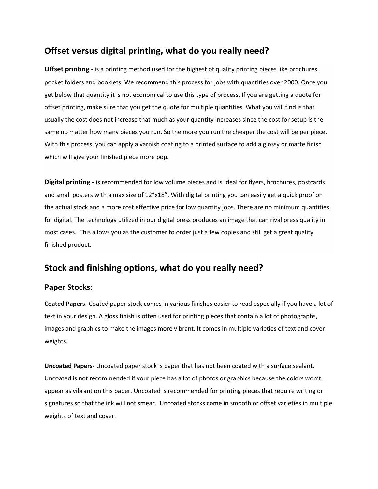### **Offset versus digital printing, what do you really need?**

**Offset printing -** is a printing method used for the highest of quality printing pieces like brochures, pocket folders and booklets. We recommend this process for jobs with quantities over 2000. Once you get below that quantity it is not economical to use this type of process. If you are getting a quote for offset printing, make sure that you get the quote for multiple quantities. What you will find is that usually the cost does not increase that much as your quantity increases since the cost for setup is the same no matter how many pieces you run. So the more you run the cheaper the cost will be per piece. With this process, you can apply a varnish coating to a printed surface to add a glossy or matte finish which will give your finished piece more pop.

**Digital printing** - is recommended for low volume pieces and is ideal for flyers, brochures, postcards and small posters with a max size of 12"x18". With digital printing you can easily get a quick proof on the actual stock and a more cost effective price for low quantity jobs. There are no minimum quantities for digital. The technology utilized in our digital press produces an image that can rival press quality in most cases. This allows you as the customer to order just a few copies and still get a great quality finished product.

# **Stock and finishing options, what do you really need?**

#### **Paper Stocks:**

**Coated Papers-** Coated paper stock comes in various finishes easier to read especially if you have a lot of text in your design. A gloss finish is often used for printing pieces that contain a lot of photographs, images and graphics to make the images more vibrant. It comes in multiple varieties of text and cover weights.

**Uncoated Papers-** Uncoated paper stock is paper that has not been coated with a surface sealant. Uncoated is not recommended if your piece has a lot of photos or graphics because the colors won't appear as vibrant on this paper. Uncoated is recommended for printing pieces that require writing or signatures so that the ink will not smear. Uncoated stocks come in smooth or offset varieties in multiple weights of text and cover.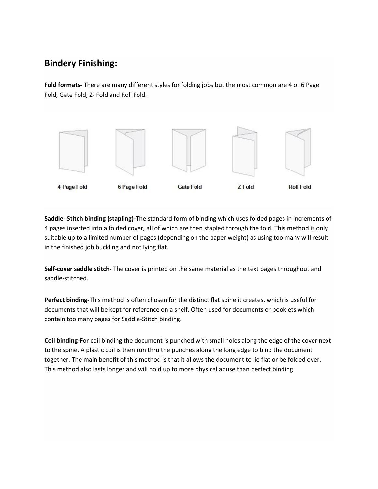# **Bindery Finishing:**

**Fold formats-** There are many different styles for folding jobs but the most common are 4 or 6 Page Fold, Gate Fold, Z- Fold and Roll Fold.



**Saddle- Stitch binding (stapling)-**The standard form of binding which uses folded pages in increments of 4 pages inserted into a folded cover, all of which are then stapled through the fold. This method is only suitable up to a limited number of pages (depending on the paper weight) as using too many will result in the finished job buckling and not lying flat.

**Self-cover saddle stitch-** The cover is printed on the same material as the text pages throughout and saddle-stitched.

**Perfect binding-**This method is often chosen for the distinct flat spine it creates, which is useful for documents that will be kept for reference on a shelf. Often used for documents or booklets which contain too many pages for Saddle-Stitch binding.

**Coil binding-**For coil binding the document is punched with small holes along the edge of the cover next to the spine. A plastic coil is then run thru the punches along the long edge to bind the document together. The main benefit of this method is that it allows the document to lie flat or be folded over. This method also lasts longer and will hold up to more physical abuse than perfect binding.